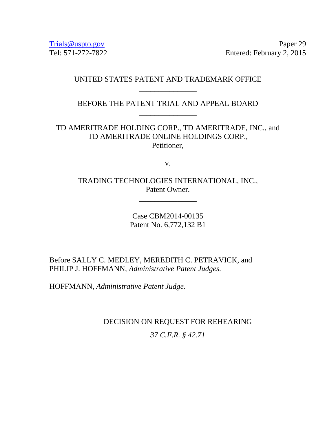Trials @uspto.gov Paper 29 Tel: 571-272-7822 Entered: February 2, 2015

# UNITED STATES PATENT AND TRADEMARK OFFICE \_\_\_\_\_\_\_\_\_\_\_\_\_\_\_

BEFORE THE PATENT TRIAL AND APPEAL BOARD \_\_\_\_\_\_\_\_\_\_\_\_\_\_\_

TD AMERITRADE HOLDING CORP., TD AMERITRADE, INC., and TD AMERITRADE ONLINE HOLDINGS CORP., Petitioner,

v.

TRADING TECHNOLOGIES INTERNATIONAL, INC., Patent Owner.

\_\_\_\_\_\_\_\_\_\_\_\_\_\_\_

Case CBM2014-00135 Patent No. 6,772,132 B1

\_\_\_\_\_\_\_\_\_\_\_\_\_\_\_

Before SALLY C. MEDLEY, MEREDITH C. PETRAVICK, and PHILIP J. HOFFMANN, *Administrative Patent Judges.* 

HOFFMANN, *Administrative Patent Judge*.

DECISION ON REQUEST FOR REHEARING

*37 C.F.R. § 42.71*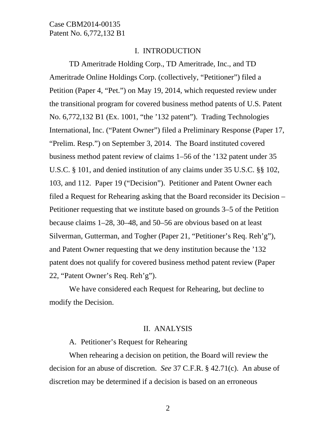#### I. INTRODUCTION

TD Ameritrade Holding Corp., TD Ameritrade, Inc., and TD Ameritrade Online Holdings Corp. (collectively, "Petitioner") filed a Petition (Paper 4, "Pet.") on May 19, 2014, which requested review under the transitional program for covered business method patents of U.S. Patent No. 6,772,132 B1 (Ex. 1001, "the '132 patent"). Trading Technologies International, Inc. ("Patent Owner") filed a Preliminary Response (Paper 17, "Prelim. Resp.") on September 3, 2014. The Board instituted covered business method patent review of claims 1–56 of the '132 patent under 35 U.S.C. § 101, and denied institution of any claims under 35 U.S.C. §§ 102, 103, and 112. Paper 19 ("Decision"). Petitioner and Patent Owner each filed a Request for Rehearing asking that the Board reconsider its Decision – Petitioner requesting that we institute based on grounds 3–5 of the Petition because claims 1–28, 30–48, and 50–56 are obvious based on at least Silverman, Gutterman, and Togher (Paper 21, "Petitioner's Req. Reh'g"), and Patent Owner requesting that we deny institution because the '132 patent does not qualify for covered business method patent review (Paper 22, "Patent Owner's Req. Reh'g").

We have considered each Request for Rehearing, but decline to modify the Decision.

#### II. ANALYSIS

A. Petitioner's Request for Rehearing

When rehearing a decision on petition, the Board will review the decision for an abuse of discretion. *See* 37 C.F.R. § 42.71(c). An abuse of discretion may be determined if a decision is based on an erroneous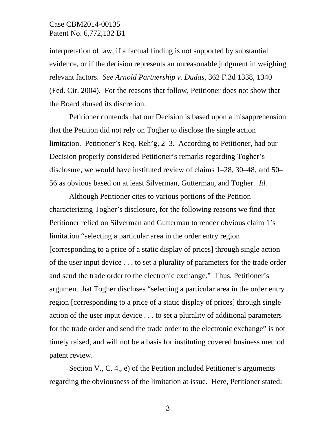interpretation of law, if a factual finding is not supported by substantial evidence, or if the decision represents an unreasonable judgment in weighing relevant factors. *See Arnold Partnership v. Dudas*, 362 F.3d 1338, 1340 (Fed. Cir. 2004). For the reasons that follow, Petitioner does not show that the Board abused its discretion.

Petitioner contends that our Decision is based upon a misapprehension that the Petition did not rely on Togher to disclose the single action limitation. Petitioner's Req. Reh'g, 2–3. According to Petitioner, had our Decision properly considered Petitioner's remarks regarding Togher's disclosure, we would have instituted review of claims 1–28, 30–48, and 50– 56 as obvious based on at least Silverman, Gutterman, and Togher. *Id.*

Although Petitioner cites to various portions of the Petition characterizing Togher's disclosure, for the following reasons we find that Petitioner relied on Silverman and Gutterman to render obvious claim 1's limitation "selecting a particular area in the order entry region [corresponding to a price of a static display of prices] through single action of the user input device . . . to set a plurality of parameters for the trade order and send the trade order to the electronic exchange." Thus, Petitioner's argument that Togher discloses "selecting a particular area in the order entry region [corresponding to a price of a static display of prices] through single action of the user input device . . . to set a plurality of additional parameters for the trade order and send the trade order to the electronic exchange" is not timely raised, and will not be a basis for instituting covered business method patent review.

Section V., C. 4., e) of the Petition included Petitioner's arguments regarding the obviousness of the limitation at issue. Here, Petitioner stated: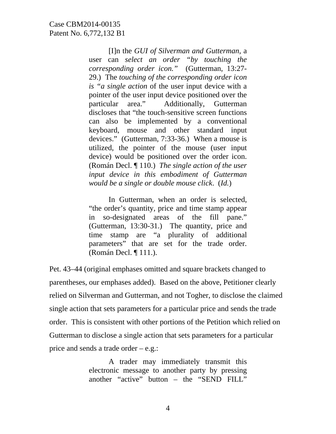[I]n the *GUI of Silverman and Gutterman*, a user can *select an order "by touching the corresponding order icon."* (Gutterman, 13:27- 29.) The *touching of the corresponding order icon is "a single action* of the user input device with a pointer of the user input device positioned over the particular area." Additionally, Gutterman discloses that "the touch-sensitive screen functions can also be implemented by a conventional keyboard, mouse and other standard input devices." (Gutterman, 7:33-36.) When a mouse is utilized, the pointer of the mouse (user input device) would be positioned over the order icon. (Román Decl. ¶ 110.) *The single action of the user input device in this embodiment of Gutterman would be a single or double mouse click*. (*Id.*)

In Gutterman, when an order is selected, "the order's quantity, price and time stamp appear in so-designated areas of the fill pane." (Gutterman, 13:30-31.) The quantity, price and time stamp are "a plurality of additional parameters" that are set for the trade order. (Román Decl. ¶ 111.).

Pet. 43–44 (original emphases omitted and square brackets changed to parentheses, our emphases added). Based on the above, Petitioner clearly relied on Silverman and Gutterman, and not Togher, to disclose the claimed single action that sets parameters for a particular price and sends the trade order. This is consistent with other portions of the Petition which relied on Gutterman to disclose a single action that sets parameters for a particular price and sends a trade order – e.g.:

> A trader may immediately transmit this electronic message to another party by pressing another "active" button – the "SEND FILL"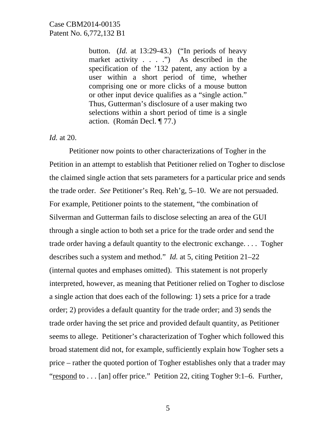button. (*Id.* at 13:29-43.) ("In periods of heavy market activity . . . .") As described in the specification of the '132 patent, any action by a user within a short period of time, whether comprising one or more clicks of a mouse button or other input device qualifies as a "single action." Thus, Gutterman's disclosure of a user making two selections within a short period of time is a single action. (Román Decl. ¶ 77.)

*Id.* at 20.

Petitioner now points to other characterizations of Togher in the Petition in an attempt to establish that Petitioner relied on Togher to disclose the claimed single action that sets parameters for a particular price and sends the trade order. *See* Petitioner's Req. Reh'g, 5–10. We are not persuaded. For example, Petitioner points to the statement, "the combination of Silverman and Gutterman fails to disclose selecting an area of the GUI through a single action to both set a price for the trade order and send the trade order having a default quantity to the electronic exchange. . . . Togher describes such a system and method." *Id.* at 5, citing Petition 21–22 (internal quotes and emphases omitted). This statement is not properly interpreted, however, as meaning that Petitioner relied on Togher to disclose a single action that does each of the following: 1) sets a price for a trade order; 2) provides a default quantity for the trade order; and 3) sends the trade order having the set price and provided default quantity, as Petitioner seems to allege. Petitioner's characterization of Togher which followed this broad statement did not, for example, sufficiently explain how Togher sets a price – rather the quoted portion of Togher establishes only that a trader may "respond to . . . [an] offer price." Petition 22, citing Togher 9:1-6. Further,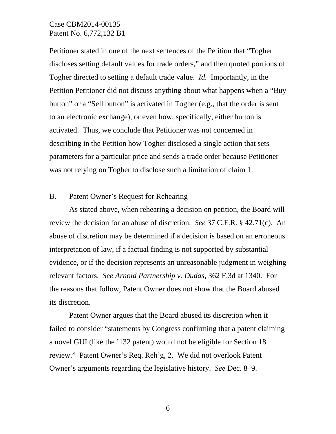Petitioner stated in one of the next sentences of the Petition that "Togher discloses setting default values for trade orders," and then quoted portions of Togher directed to setting a default trade value. *Id.* Importantly, in the Petition Petitioner did not discuss anything about what happens when a "Buy button" or a "Sell button" is activated in Togher (e.g., that the order is sent to an electronic exchange), or even how, specifically, either button is activated. Thus, we conclude that Petitioner was not concerned in describing in the Petition how Togher disclosed a single action that sets parameters for a particular price and sends a trade order because Petitioner was not relying on Togher to disclose such a limitation of claim 1.

### B. Patent Owner's Request for Rehearing

As stated above, when rehearing a decision on petition, the Board will review the decision for an abuse of discretion. *See* 37 C.F.R. § 42.71(c). An abuse of discretion may be determined if a decision is based on an erroneous interpretation of law, if a factual finding is not supported by substantial evidence, or if the decision represents an unreasonable judgment in weighing relevant factors. *See Arnold Partnership v. Dudas*, 362 F.3d at 1340. For the reasons that follow, Patent Owner does not show that the Board abused its discretion.

Patent Owner argues that the Board abused its discretion when it failed to consider "statements by Congress confirming that a patent claiming a novel GUI (like the '132 patent) would not be eligible for Section 18 review." Patent Owner's Req. Reh'g, 2. We did not overlook Patent Owner's arguments regarding the legislative history. *See* Dec. 8–9.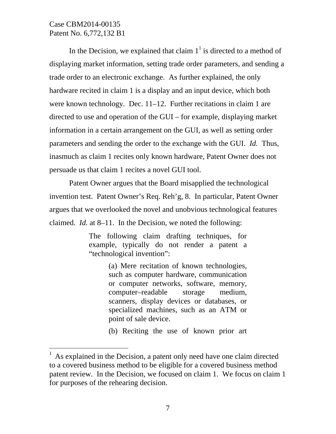$\overline{a}$ 

In the Decision, we explained that claim  $1<sup>1</sup>$  is directed to a method of displaying market information, setting trade order parameters, and sending a trade order to an electronic exchange. As further explained, the only hardware recited in claim 1 is a display and an input device, which both were known technology. Dec. 11–12. Further recitations in claim 1 are directed to use and operation of the GUI – for example, displaying market information in a certain arrangement on the GUI, as well as setting order parameters and sending the order to the exchange with the GUI. *Id.* Thus, inasmuch as claim 1 recites only known hardware, Patent Owner does not persuade us that claim 1 recites a novel GUI tool.

Patent Owner argues that the Board misapplied the technological invention test. Patent Owner's Req. Reh'g, 8. In particular, Patent Owner argues that we overlooked the novel and unobvious technological features claimed. *Id.* at 8–11. In the Decision, we noted the following:

> The following claim drafting techniques, for example, typically do not render a patent a "technological invention":

> > (a) Mere recitation of known technologies, such as computer hardware, communication or computer networks, software, memory, computer–readable storage medium, scanners, display devices or databases, or specialized machines, such as an ATM or point of sale device.

> > (b) Reciting the use of known prior art

As explained in the Decision, a patent only need have one claim directed to a covered business method to be eligible for a covered business method patent review. In the Decision, we focused on claim 1. We focus on claim 1 for purposes of the rehearing decision.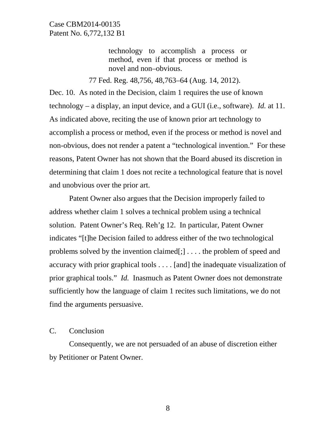technology to accomplish a process or method, even if that process or method is novel and non–obvious.

77 Fed. Reg. 48,756, 48,763–64 (Aug. 14, 2012).

Dec. 10. As noted in the Decision, claim 1 requires the use of known technology – a display, an input device, and a GUI (i.e., software). *Id.* at 11. As indicated above, reciting the use of known prior art technology to accomplish a process or method, even if the process or method is novel and non-obvious, does not render a patent a "technological invention." For these reasons, Patent Owner has not shown that the Board abused its discretion in determining that claim 1 does not recite a technological feature that is novel and unobvious over the prior art.

Patent Owner also argues that the Decision improperly failed to address whether claim 1 solves a technical problem using a technical solution. Patent Owner's Req. Reh'g 12. In particular, Patent Owner indicates "[t]he Decision failed to address either of the two technological problems solved by the invention claimed[;] . . . . the problem of speed and accuracy with prior graphical tools . . . . [and] the inadequate visualization of prior graphical tools." *Id.* Inasmuch as Patent Owner does not demonstrate sufficiently how the language of claim 1 recites such limitations, we do not find the arguments persuasive.

#### C. Conclusion

 Consequently, we are not persuaded of an abuse of discretion either by Petitioner or Patent Owner.